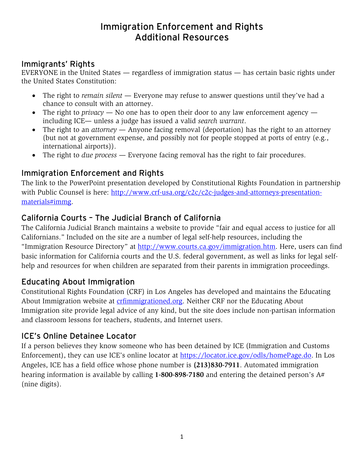# Immigration Enforcement and Rights Additional Resources

#### Immigrants' Rights

EVERYONE in the United States — regardless of immigration status — has certain basic rights under the United States Constitution:

- The right to *remain silent* Everyone may refuse to answer questions until they've had a chance to consult with an attorney.
- The right to *privacy* No one has to open their door to any law enforcement agency including ICE— unless a judge has issued a valid *search warrant*.
- The right to an *attorney* Anyone facing removal (deportation) has the right to an attorney (but not at government expense, and possibly not for people stopped at ports of entry (e.g., international airports)).
- The right to *due process* Everyone facing removal has the right to fair procedures.

### Immigration Enforcement and Rights

The link to the PowerPoint presentation developed by Constitutional Rights Foundation in partnership with Public Counsel is here: [http://www.crf-usa.org/c2c/c2c-judges-and-attorneys-presentation](http://www.crf-usa.org/c2c/c2c-judges-and-attorneys-presentation-materials#immg)[materials#immg.](http://www.crf-usa.org/c2c/c2c-judges-and-attorneys-presentation-materials#immg)

### California Courts – The Judicial Branch of California

The California Judicial Branch maintains a website to provide "fair and equal access to justice for all Californians." Included on the site are a number of legal self-help resources, including the "Immigration Resource Directory" at [http://www.courts.ca.gov/immigration.htm.](http://www.courts.ca.gov/immigration.htm) Here, users can find basic information for California courts and the U.S. federal government, as well as links for legal selfhelp and resources for when children are separated from their parents in immigration proceedings.

### Educating About Immigration

Constitutional Rights Foundation (CRF) in Los Angeles has developed and maintains the Educating About Immigration website at [crfimmigrationed.org.](http://www.crfimmigrationed.org/) Neither CRF nor the Educating About Immigration site provide legal advice of any kind, but the site does include non-partisan information and classroom lessons for teachers, students, and Internet users.

### ICE's Online Detainee Locator

If a person believes they know someone who has been detained by ICE (Immigration and Customs Enforcement), they can use ICE's online locator at [https://locator.ice.gov/odls/homePage.do.](https://locator.ice.gov/odls/homePage.do) In Los Angeles, ICE has a field office whose phone number is **(213)830-7911**. Automated immigration hearing information is available by calling **1-800-898-7180** and entering the detained person's A# (nine digits).